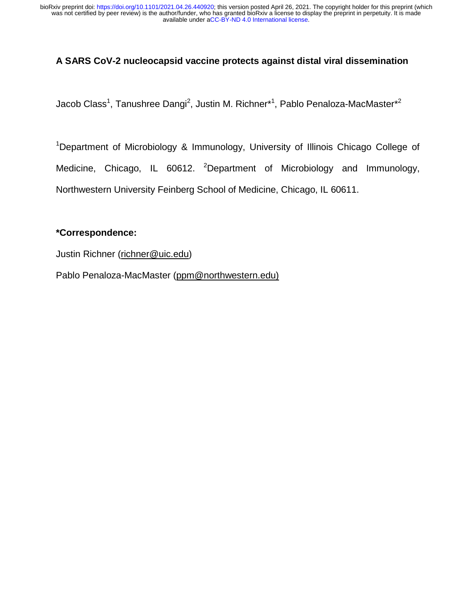### **A SARS CoV-2 nucleocapsid vaccine protects against distal viral dissemination**

Jacob Class<sup>1</sup>, Tanushree Dangi<sup>2</sup>, Justin M. Richner\*<sup>1</sup>, Pablo Penaloza-MacMaster\*<sup>2</sup>

<sup>1</sup>Department of Microbiology & Immunology, University of Illinois Chicago College of Medicine, Chicago, IL 60612. <sup>2</sup>Department of Microbiology and Immunology, Northwestern University Feinberg School of Medicine, Chicago, IL 60611.

#### **\*Correspondence:**

Justin Richner (richner@uic.edu)

Pablo Penaloza-MacMaster (ppm@northwestern.edu)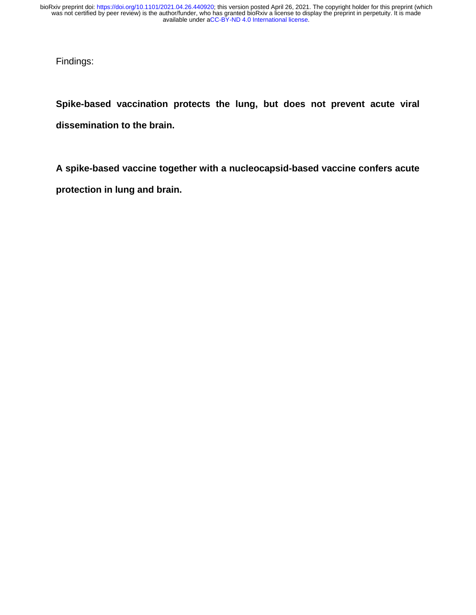Findings:

**Spike-based vaccination protects the lung, but does not prevent acute viral dissemination to the brain.** 

**A spike-based vaccine together with a nucleocapsid-based vaccine confers acute protection in lung and brain.**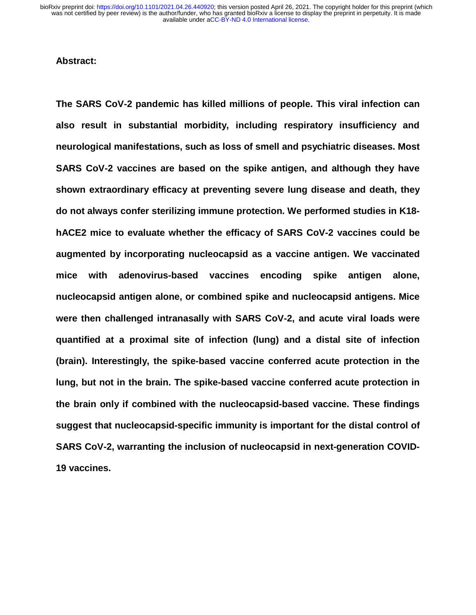#### **Abstract:**

**The SARS CoV-2 pandemic has killed millions of people. This viral infection can also result in substantial morbidity, including respiratory insufficiency and neurological manifestations, such as loss of smell and psychiatric diseases. Most SARS CoV-2 vaccines are based on the spike antigen, and although they have shown extraordinary efficacy at preventing severe lung disease and death, they do not always confer sterilizing immune protection. We performed studies in K18 hACE2 mice to evaluate whether the efficacy of SARS CoV-2 vaccines could be augmented by incorporating nucleocapsid as a vaccine antigen. We vaccinated mice with adenovirus-based vaccines encoding spike antigen alone, nucleocapsid antigen alone, or combined spike and nucleocapsid antigens. Mice were then challenged intranasally with SARS CoV-2, and acute viral loads were quantified at a proximal site of infection (lung) and a distal site of infection (brain). Interestingly, the spike-based vaccine conferred acute protection in the lung, but not in the brain. The spike-based vaccine conferred acute protection in the brain only if combined with the nucleocapsid-based vaccine. These findings suggest that nucleocapsid-specific immunity is important for the distal control of SARS CoV-2, warranting the inclusion of nucleocapsid in next-generation COVID-19 vaccines.**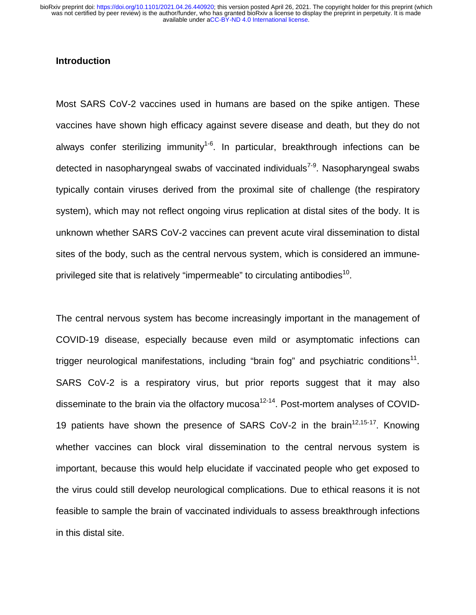#### **Introduction**

Most SARS CoV-2 vaccines used in humans are based on the spike antigen. These vaccines have shown high efficacy against severe disease and death, but they do not always confer sterilizing immunity<sup>1-6</sup>. In particular, breakthrough infections can be detected in nasopharyngeal swabs of vaccinated individuals<sup>7-9</sup>. Nasopharyngeal swabs typically contain viruses derived from the proximal site of challenge (the respiratory system), which may not reflect ongoing virus replication at distal sites of the body. It is unknown whether SARS CoV-2 vaccines can prevent acute viral dissemination to distal sites of the body, such as the central nervous system, which is considered an immuneprivileged site that is relatively "impermeable" to circulating antibodies<sup>10</sup>.

The central nervous system has become increasingly important in the management of COVID-19 disease, especially because even mild or asymptomatic infections can trigger neurological manifestations, including "brain fog" and psychiatric conditions $11$ . SARS CoV-2 is a respiratory virus, but prior reports suggest that it may also disseminate to the brain via the olfactory mucosa<sup>12-14</sup>. Post-mortem analyses of COVID-19 patients have shown the presence of SARS CoV-2 in the brain<sup>12,15-17</sup>. Knowing whether vaccines can block viral dissemination to the central nervous system is important, because this would help elucidate if vaccinated people who get exposed to the virus could still develop neurological complications. Due to ethical reasons it is not feasible to sample the brain of vaccinated individuals to assess breakthrough infections in this distal site.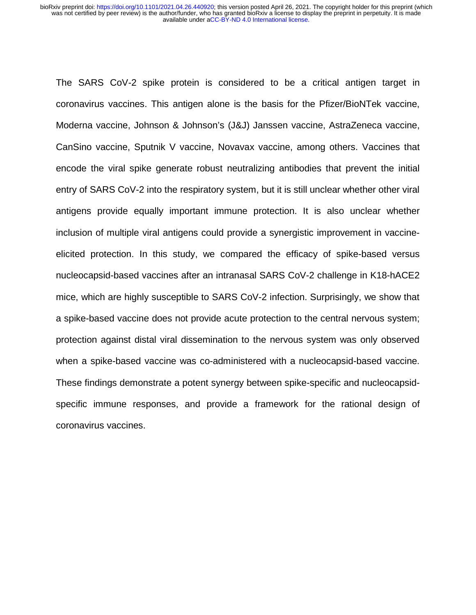The SARS CoV-2 spike protein is considered to be a critical antigen target in coronavirus vaccines. This antigen alone is the basis for the Pfizer/BioNTek vaccine, Moderna vaccine, Johnson & Johnson's (J&J) Janssen vaccine, AstraZeneca vaccine, CanSino vaccine, Sputnik V vaccine, Novavax vaccine, among others. Vaccines that encode the viral spike generate robust neutralizing antibodies that prevent the initial entry of SARS CoV-2 into the respiratory system, but it is still unclear whether other viral antigens provide equally important immune protection. It is also unclear whether inclusion of multiple viral antigens could provide a synergistic improvement in vaccineelicited protection. In this study, we compared the efficacy of spike-based versus nucleocapsid-based vaccines after an intranasal SARS CoV-2 challenge in K18-hACE2 mice, which are highly susceptible to SARS CoV-2 infection. Surprisingly, we show that a spike-based vaccine does not provide acute protection to the central nervous system; protection against distal viral dissemination to the nervous system was only observed when a spike-based vaccine was co-administered with a nucleocapsid-based vaccine. These findings demonstrate a potent synergy between spike-specific and nucleocapsidspecific immune responses, and provide a framework for the rational design of coronavirus vaccines.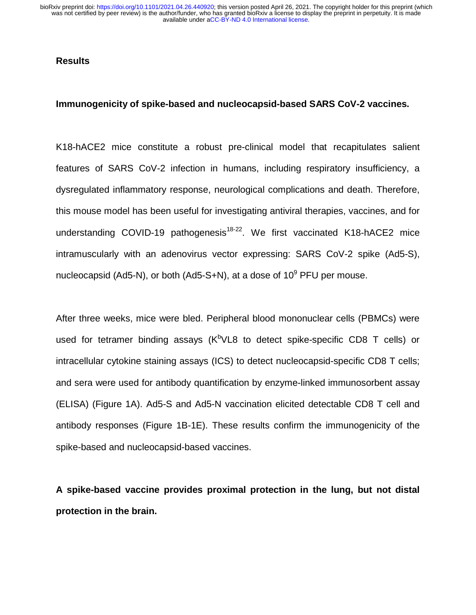#### **Results**

#### **Immunogenicity of spike-based and nucleocapsid-based SARS CoV-2 vaccines.**

K18-hACE2 mice constitute a robust pre-clinical model that recapitulates salient features of SARS CoV-2 infection in humans, including respiratory insufficiency, a dysregulated inflammatory response, neurological complications and death. Therefore, this mouse model has been useful for investigating antiviral therapies, vaccines, and for understanding COVID-19 pathogenesis<sup>18-22</sup>. We first vaccinated K18-hACE2 mice intramuscularly with an adenovirus vector expressing: SARS CoV-2 spike (Ad5-S), nucleocapsid (Ad5-N), or both (Ad5-S+N), at a dose of 10 $^9$  PFU per mouse.

After three weeks, mice were bled. Peripheral blood mononuclear cells (PBMCs) were used for tetramer binding assays (K<sup>b</sup>VL8 to detect spike-specific CD8 T cells) or intracellular cytokine staining assays (ICS) to detect nucleocapsid-specific CD8 T cells; and sera were used for antibody quantification by enzyme-linked immunosorbent assay (ELISA) (Figure 1A). Ad5-S and Ad5-N vaccination elicited detectable CD8 T cell and antibody responses (Figure 1B-1E). These results confirm the immunogenicity of the spike-based and nucleocapsid-based vaccines.

**A spike-based vaccine provides proximal protection in the lung, but not distal protection in the brain.**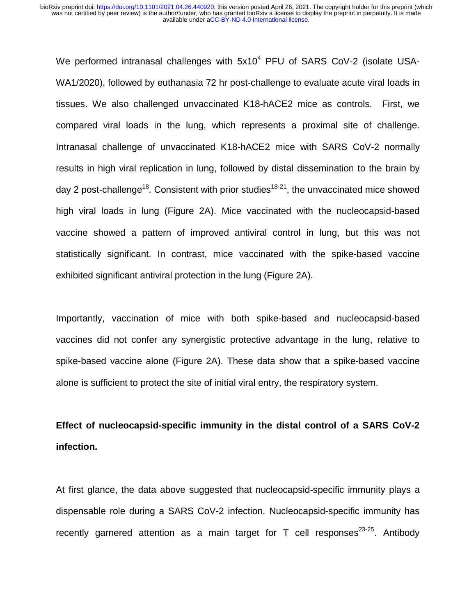We performed intranasal challenges with  $5x10^4$  PFU of SARS CoV-2 (isolate USA-WA1/2020), followed by euthanasia 72 hr post-challenge to evaluate acute viral loads in tissues. We also challenged unvaccinated K18-hACE2 mice as controls. First, we compared viral loads in the lung, which represents a proximal site of challenge. Intranasal challenge of unvaccinated K18-hACE2 mice with SARS CoV-2 normally results in high viral replication in lung, followed by distal dissemination to the brain by day 2 post-challenge<sup>18</sup>. Consistent with prior studies<sup>18-21</sup>, the unvaccinated mice showed high viral loads in lung (Figure 2A). Mice vaccinated with the nucleocapsid-based vaccine showed a pattern of improved antiviral control in lung, but this was not statistically significant. In contrast, mice vaccinated with the spike-based vaccine exhibited significant antiviral protection in the lung (Figure 2A).

Importantly, vaccination of mice with both spike-based and nucleocapsid-based vaccines did not confer any synergistic protective advantage in the lung, relative to spike-based vaccine alone (Figure 2A). These data show that a spike-based vaccine alone is sufficient to protect the site of initial viral entry, the respiratory system.

## **Effect of nucleocapsid-specific immunity in the distal control of a SARS CoV-2 infection.**

At first glance, the data above suggested that nucleocapsid-specific immunity plays a dispensable role during a SARS CoV-2 infection. Nucleocapsid-specific immunity has recently garnered attention as a main target for  $T$  cell responses<sup>23-25</sup>. Antibody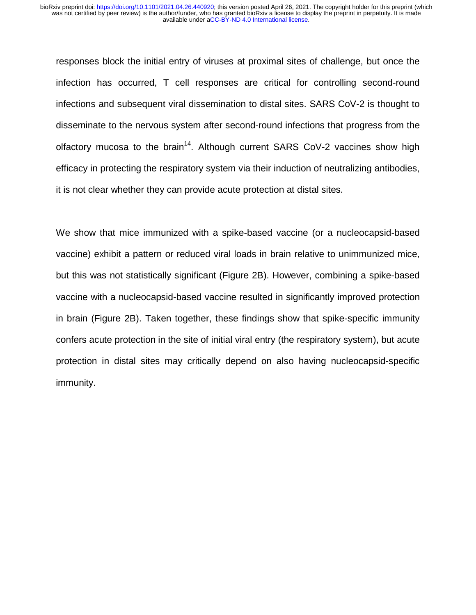responses block the initial entry of viruses at proximal sites of challenge, but once the infection has occurred, T cell responses are critical for controlling second-round infections and subsequent viral dissemination to distal sites. SARS CoV-2 is thought to disseminate to the nervous system after second-round infections that progress from the olfactory mucosa to the brain<sup>14</sup>. Although current SARS CoV-2 vaccines show high efficacy in protecting the respiratory system via their induction of neutralizing antibodies, it is not clear whether they can provide acute protection at distal sites.

We show that mice immunized with a spike-based vaccine (or a nucleocapsid-based vaccine) exhibit a pattern or reduced viral loads in brain relative to unimmunized mice, but this was not statistically significant (Figure 2B). However, combining a spike-based vaccine with a nucleocapsid-based vaccine resulted in significantly improved protection in brain (Figure 2B). Taken together, these findings show that spike-specific immunity confers acute protection in the site of initial viral entry (the respiratory system), but acute protection in distal sites may critically depend on also having nucleocapsid-specific immunity.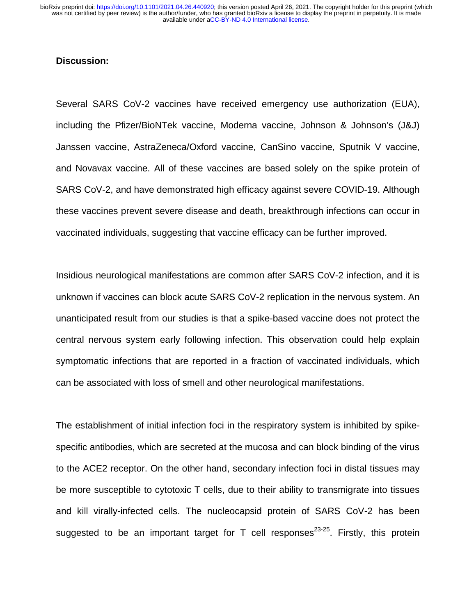#### **Discussion:**

Several SARS CoV-2 vaccines have received emergency use authorization (EUA), including the Pfizer/BioNTek vaccine, Moderna vaccine, Johnson & Johnson's (J&J) Janssen vaccine, AstraZeneca/Oxford vaccine, CanSino vaccine, Sputnik V vaccine, and Novavax vaccine. All of these vaccines are based solely on the spike protein of SARS CoV-2, and have demonstrated high efficacy against severe COVID-19. Although these vaccines prevent severe disease and death, breakthrough infections can occur in vaccinated individuals, suggesting that vaccine efficacy can be further improved.

Insidious neurological manifestations are common after SARS CoV-2 infection, and it is unknown if vaccines can block acute SARS CoV-2 replication in the nervous system. An unanticipated result from our studies is that a spike-based vaccine does not protect the central nervous system early following infection. This observation could help explain symptomatic infections that are reported in a fraction of vaccinated individuals, which can be associated with loss of smell and other neurological manifestations.

The establishment of initial infection foci in the respiratory system is inhibited by spikespecific antibodies, which are secreted at the mucosa and can block binding of the virus to the ACE2 receptor. On the other hand, secondary infection foci in distal tissues may be more susceptible to cytotoxic T cells, due to their ability to transmigrate into tissues and kill virally-infected cells. The nucleocapsid protein of SARS CoV-2 has been suggested to be an important target for T cell responses<sup>23-25</sup>. Firstly, this protein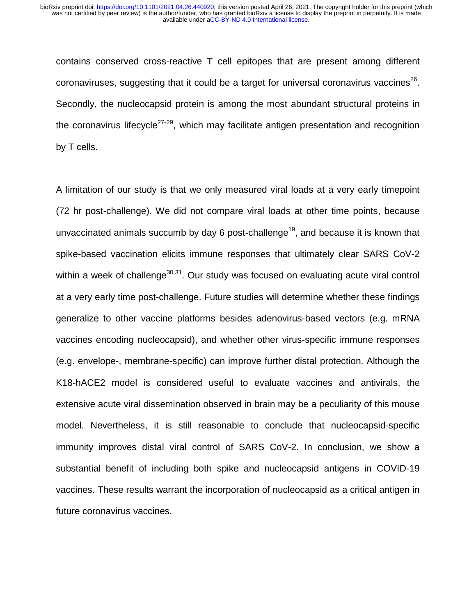contains conserved cross-reactive T cell epitopes that are present among different coronaviruses, suggesting that it could be a target for universal coronavirus vaccines<sup>26</sup>. Secondly, the nucleocapsid protein is among the most abundant structural proteins in the coronavirus lifecycle<sup>27-29</sup>, which may facilitate antigen presentation and recognition by T cells.

A limitation of our study is that we only measured viral loads at a very early timepoint (72 hr post-challenge). We did not compare viral loads at other time points, because unvaccinated animals succumb by day 6 post-challenge<sup>19</sup>, and because it is known that spike-based vaccination elicits immune responses that ultimately clear SARS CoV-2 within a week of challenge $30,31$ . Our study was focused on evaluating acute viral control at a very early time post-challenge. Future studies will determine whether these findings generalize to other vaccine platforms besides adenovirus-based vectors (e.g. mRNA vaccines encoding nucleocapsid), and whether other virus-specific immune responses (e.g. envelope-, membrane-specific) can improve further distal protection. Although the K18-hACE2 model is considered useful to evaluate vaccines and antivirals, the extensive acute viral dissemination observed in brain may be a peculiarity of this mouse model. Nevertheless, it is still reasonable to conclude that nucleocapsid-specific immunity improves distal viral control of SARS CoV-2. In conclusion, we show a substantial benefit of including both spike and nucleocapsid antigens in COVID-19 vaccines. These results warrant the incorporation of nucleocapsid as a critical antigen in future coronavirus vaccines.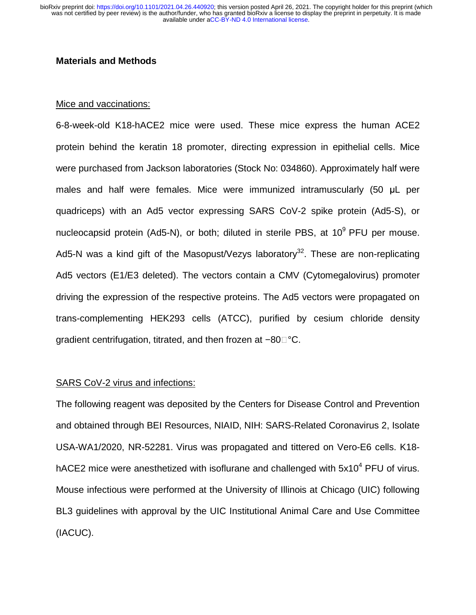#### **Materials and Methods**

#### Mice and vaccinations:

6-8-week-old K18-hACE2 mice were used. These mice express the human ACE2 protein behind the keratin 18 promoter, directing expression in epithelial cells. Mice were purchased from Jackson laboratories (Stock No: 034860). Approximately half were males and half were females. Mice were immunized intramuscularly (50 μL per quadriceps) with an Ad5 vector expressing SARS CoV-2 spike protein (Ad5-S), or nucleocapsid protein (Ad5-N), or both; diluted in sterile PBS, at  $10^9$  PFU per mouse. Ad5-N was a kind gift of the Masopust/Vezys laboratory<sup>32</sup>. These are non-replicating Ad5 vectors (E1/E3 deleted). The vectors contain a CMV (Cytomegalovirus) promoter driving the expression of the respective proteins. The Ad5 vectors were propagated on trans-complementing HEK293 cells (ATCC), purified by cesium chloride density gradient centrifugation, titrated, and then frozen at –80 $\Box^\circ\mathsf{C}.$ 

#### SARS CoV-2 virus and infections:

The following reagent was deposited by the Centers for Disease Control and Prevention and obtained through BEI Resources, NIAID, NIH: SARS-Related Coronavirus 2, Isolate USA-WA1/2020, NR-52281. Virus was propagated and tittered on Vero-E6 cells. K18-USA-WA1/2020, NR-52281. Virus was propagated and tittered on Vero-E6 cells. K18-<br>hACE2 mice were anesthetized with isoflurane and challenged with 5x10<sup>4</sup> PFU of virus. Mouse infectious were performed at the University of Illinois at Chicago (UIC) following BL3 guidelines with approval by the UIC Institutional Animal Care and Use Committee (IACUC).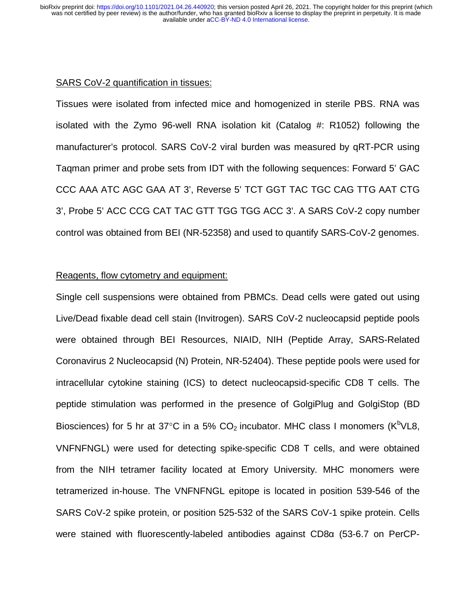#### SARS CoV-2 quantification in tissues:

Tissues were isolated from infected mice and homogenized in sterile PBS. RNA was isolated with the Zymo 96-well RNA isolation kit (Catalog #: R1052) following the manufacturer's protocol. SARS CoV-2 viral burden was measured by qRT-PCR using Taqman primer and probe sets from IDT with the following sequences: Forward 5' GAC CCC AAA ATC AGC GAA AT 3', Reverse 5' TCT GGT TAC TGC CAG TTG AAT CTG 3', Probe 5' ACC CCG CAT TAC GTT TGG TGG ACC 3'. A SARS CoV-2 copy number control was obtained from BEI (NR-52358) and used to quantify SARS-CoV-2 genomes.

#### Reagents, flow cytometry and equipment:

Single cell suspensions were obtained from PBMCs. Dead cells were gated out using Live/Dead fixable dead cell stain (Invitrogen). SARS CoV-2 nucleocapsid peptide pools were obtained through BEI Resources, NIAID, NIH (Peptide Array, SARS-Related Coronavirus 2 Nucleocapsid (N) Protein, NR-52404). These peptide pools were used for intracellular cytokine staining (ICS) to detect nucleocapsid-specific CD8 T cells. The peptide stimulation was performed in the presence of GolgiPlug and GolgiStop (BD Biosciences) for 5 hr at 37°C in a 5%  $CO<sub>2</sub>$  incubator. MHC class I monomers (K<sup>b</sup>VL8, VNFNFNGL) were used for detecting spike-specific CD8 T cells, and were obtained from the NIH tetramer facility located at Emory University. MHC monomers were tetramerized in-house. The VNFNFNGL epitope is located in position 539-546 of the SARS CoV-2 spike protein, or position 525-532 of the SARS CoV-1 spike protein. Cells were stained with fluorescently-labeled antibodies against CD8α (53-6.7 on PerCP-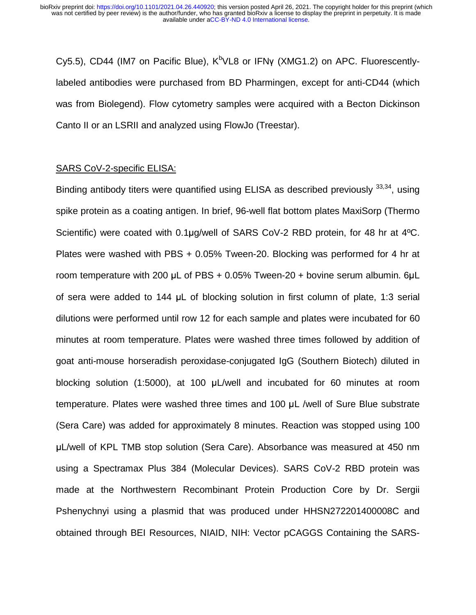Cy5.5), CD44 (IM7 on Pacific Blue), K<sup>b</sup>VL8 or IFNγ (XMG1.2) on APC. Fluorescentlylabeled antibodies were purchased from BD Pharmingen, except for anti-CD44 (which was from Biolegend). Flow cytometry samples were acquired with a Becton Dickinson Canto II or an LSRII and analyzed using FlowJo (Treestar).

#### SARS CoV-2-specific ELISA:

Binding antibody titers were quantified using ELISA as described previously  $33,34$ , using spike protein as a coating antigen. In brief, 96-well flat bottom plates MaxiSorp (Thermo Scientific) were coated with 0.1µg/well of SARS CoV-2 RBD protein, for 48 hr at 4<sup>o</sup>C. Plates were washed with PBS + 0.05% Tween-20. Blocking was performed for 4 hr at room temperature with 200 μL of PBS + 0.05% Tween-20 + bovine serum albumin. 6μ<sup>L</sup> of sera were added to 144 μL of blocking solution in first column of plate, 1:3 serial dilutions were performed until row 12 for each sample and plates were incubated for 60 minutes at room temperature. Plates were washed three times followed by addition of goat anti-mouse horseradish peroxidase-conjugated IgG (Southern Biotech) diluted in blocking solution (1:5000), at 100 μL/well and incubated for 60 minutes at room temperature. Plates were washed three times and 100 μL /well of Sure Blue substrate (Sera Care) was added for approximately 8 minutes. Reaction was stopped using 100 <sup>μ</sup>L/well of KPL TMB stop solution (Sera Care). Absorbance was measured at 450 nm using a Spectramax Plus 384 (Molecular Devices). SARS CoV-2 RBD protein was made at the Northwestern Recombinant Protein Production Core by Dr. Sergii Pshenychnyi using a plasmid that was produced under HHSN272201400008C and obtained through BEI Resources, NIAID, NIH: Vector pCAGGS Containing the SARS-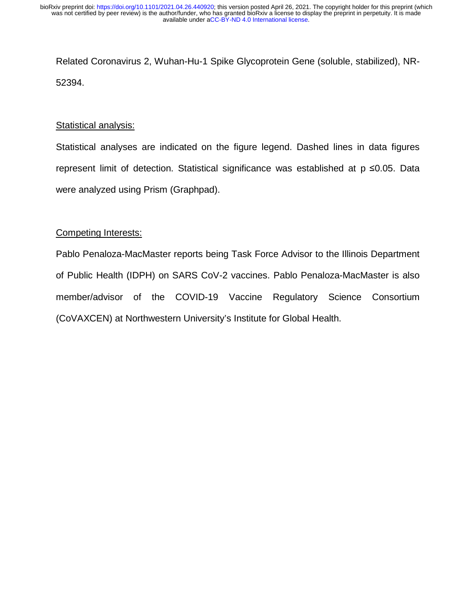Related Coronavirus 2, Wuhan-Hu-1 Spike Glycoprotein Gene (soluble, stabilized), NR-52394.

#### Statistical analysis:

Statistical analyses are indicated on the figure legend. Dashed lines in data figures represent limit of detection. Statistical significance was established at p ≤0.05. Data<br>were analyzed using Prism (Graphpad). were analyzed using Prism (Graphpad).

#### Competing Interests:

Pablo Penaloza-MacMaster reports being Task Force Advisor to the Illinois Department of Public Health (IDPH) on SARS CoV-2 vaccines. Pablo Penaloza-MacMaster is also member/advisor of the COVID-19 Vaccine Regulatory Science Consortium (CoVAXCEN) at Northwestern University's Institute for Global Health.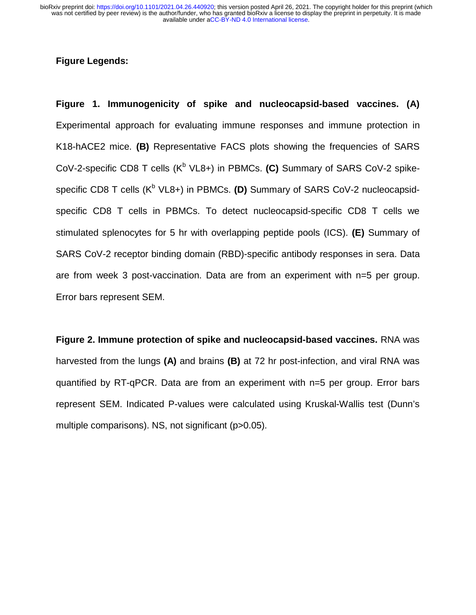#### **Figure Legends:**

**Figure 1. Immunogenicity of spike and nucleocapsid-based vaccines. (A)**  Experimental approach for evaluating immune responses and immune protection in K18-hACE2 mice. **(B)** Representative FACS plots showing the frequencies of SARS CoV-2-specific CD8 T cells (K<sup>b</sup> VL8+) in PBMCs. (C) Summary of SARS CoV-2 spikespecific CD8 T cells (K<sup>b</sup> VL8+) in PBMCs. (D) Summary of SARS CoV-2 nucleocapsidspecific CD8 T cells in PBMCs. To detect nucleocapsid-specific CD8 T cells we stimulated splenocytes for 5 hr with overlapping peptide pools (ICS). **(E)** Summary of SARS CoV-2 receptor binding domain (RBD)-specific antibody responses in sera. Data are from week 3 post-vaccination. Data are from an experiment with n=5 per group. Error bars represent SEM.

**Figure 2. Immune protection of spike and nucleocapsid-based vaccines.** RNA was harvested from the lungs **(A)** and brains **(B)** at 72 hr post-infection, and viral RNA was quantified by RT-qPCR. Data are from an experiment with n=5 per group. Error bars represent SEM. Indicated P-values were calculated using Kruskal-Wallis test (Dunn's multiple comparisons). NS, not significant (p>0.05).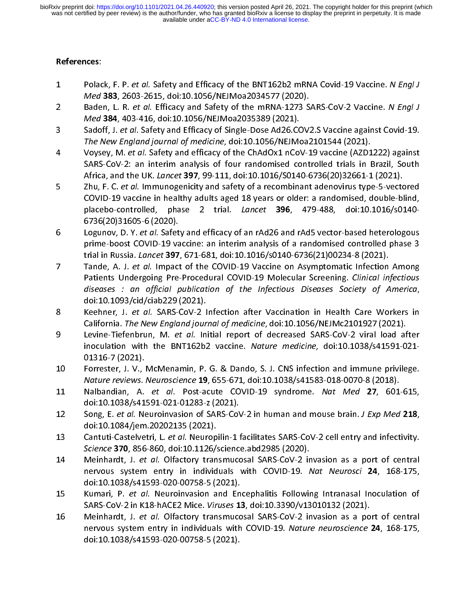- References:<br>1 Polack, F. P. et al. Safety and Efficacy of the BNT162b2 mRNA Covid-19 Vaccine. N Engl J 1 Polack, F. P. et *al.* Safety and Efficacy of the BNT162b2 mRNA Covid-19 vaccine. N Engl J<br>Med 383, 2603-2615, doi:10.1056/NEJMoa2034577 (2020).<br>2 Baden, L. R. *et al.* Efficacy and Safety of the mRNA-1273 SARS-CoV-2 Vac
- Med 383, 2003-2015, doi:10.1050/NEJMoa2034577 (2020).<br>Baden, L. R. *et al.* Efficacy and Safety of the mRNA-1273 S.<br>*Med* 384, 403-416, doi:10.1056/NEJMoa2035389 (2021). 2 Baden, L. R. *et al.* Efficacy and Safety of the mRNA-1273 SARS-CoV-2 Vaccine. N *Engl J*<br>2 Med 384, 403-416, doi:10.1056/NEJMoa2035389 (2021).<br>3 Sadoff, J. *et al.* Safety and Efficacy of Single-Dose Ad26.COV2.S Vaccine
- The New England journal of medicine, doi:10.1056/NEJMoa2101544 (2021). 3 Sadon, J. et al. Safety and Efficacy of Single-Dose Ad26.COV2.5 vaccine against Covid-15.<br>The New England journal of medicine, doi:10.1056/NEJMoa2101544 (2021).<br>4 Voysey, M. et al. Safety and efficacy of the ChAdOx1 nCoV
- The New England Journal of medicine, doi:10.1050/NEJMoa2101544 (2021).<br>Voysey, M. *et al.* Safety and efficacy of the ChAdOx1 nCoV-19 vaccine (AZD1<br>SARS-CoV-2: an interim analysis of four randomised controlled trials in I Voysey, M. et al. Safety and efficacy of the ChAdOx1 nCov-19 vaccine (AZD1222) against<br>SARS-CoV-2: an interim analysis of four randomised controlled trials in Brazil, South<br>Africa, and the UK. Lancet 397, 99-111, doi:10.10
- SARS-COV-2: an interimentally stated trials interimental controlled trials in Brazil, Sepan.<br>Africa, and the UK. Lancet 397, 99-111, doi:10.1016/S0140-6736(20)32661-1 (2021).<br>Zhu, F. C. et al. Immunogenicity and safety of Zhu, F. C. et al. Immunogenicity and safety of a recombinant adenovirus type-5-vectored 5 Zhu, F. C. *et al.* Immunogenicity and safety of a recombinant adenovirus type-5-vectored<br>COVID-19 vaccine in healthy adults aged 18 years or older: a randomised, double-blind,<br>placebo-controlled, phase 2 trial. *Lancet* placebo-controlled, phase 2 trial. *Lancet* **396**, 479-488,<br>6736(20)31605-6(2020).
- Logunov, D. Y. et al. Safety and efficacy of an rAd26 and rAd5 vector-based heterologous Contract Contract Contract Contract Contract Contract Contract Contract Contract Contract Contract Contract Co<br>Similar prime-boost COVID-19 va Eugunov, D. Y. et al. Safety and efficacy of an rAd26 and rAd3 vector-based heterologous<br>prime-boost COVID-19 vaccine: an interim analysis of a randomised controlled phase 3<br>trial in Russia. Lancet 397, 671-681, doi:10.101 trial in Russia. *Lancet* 397, 671-681, doi:10.1016/s0140-6736(21)00234-8 (2021).<br>Tande, A. J. *et al.* Impact of the COVID-19 Vaccine on Asymptomatic Infection Among
- that in Russia. Lancet 397, 671-661, doi:10.1016/s0140-6736(21)00234-8 (2021).<br>Tande, A. J. *et al.* Impact of the COVID-19 Vaccine on Asymptomatic Infection<br>Patients Undergoing Pre-Procedural COVID-19 Molecular Screening. Tande, A. J. et al. Impact of the COVID-19 Vaccine on Asymptomatic Infection Among<br>Patients Undergoing Pre-Procedural COVID-19 Molecular Screening. Clinical infectious<br>diseases : an official publication of the Infectious D diseases : an official publication of the Infectious Diseases Society of America,<br>doi:10.1093/cid/ciab229(2021). diseases : an official publication of the Infectious Diseases Society of America,<br>doi:10.1093/cid/ciab229 (2021).<br>Keehner, J. *et al.* SARS-CoV-2 Infection after Vaccination in Health Care Workers in
- doi:10.1093/cid/ciab229 (2021). 8 Keehner, J. *et al.* SARS-CoV-2 Infection after Vaccination in Health Care Workers in<br>California. *The New England journal of medicine,* doi:10.1056/NEJMc2101927 (2021).<br>Levine-Tiefenbrun, M. *et al.* Initial report of d
- California. The New England Journal of medicine, abi.10.1050/NEJMc2101527 (2021).<br>Levine-Tiefenbrun, M. *et al.* Initial report of decreased SARS-CoV-2 viral load af<br>inoculation with the BNT162b2 vaccine. *Nature medicine*  $\frac{1}{2}$  Levine-Tiefenbrun, M. et al. Initial report of decreased SARS-Cov-2 viral load after<br>inoculation with the BNT162b2 vaccine. Nature medicine, doi:10.1038/s41591-021-<br>01316-7 (2021). 01316-7 (2021).<br>Forrester, J. V., McMenamin, P. G. & Dando, S. J. CNS infection and immune privilege.
- Processor (2022).<br>Forrester, J. V.,<br>Nature reviews. 11 Forrester, Forrest Plancemann, President Limita, J. P. B. B. Mature reviews. Neuroscience 19, 655-671, doi:10.1038/s41583-018-0070-8 (2018).<br>11 Nalbandian, A. et al. Post-acute COVID-19 syndrome. Nat Med 27, 601-615,
- Nalbandian, A. *et al*. Post-acute COVID-19 syndrome. *Nat Med* 27, 601-615, doi:10.1038/s41591-021-01283-z (2021). 11 Nalbandian, A. et al. 19st acute COVID-19 syndrome. Nat Med 27, 601-615,<br>doi:10.1038/s41591-021-01283-z (2021).<br>12 Song, E. et al. Neuroinvasion of SARS-CoV-2 in human and mouse brain. *J Exp Med* 218,
- doi:10.10384/jem.1020135<br>1008. E. et al. Neuroinvasion of SARS-Cov<br>doi:10.1084/jem.20202135 (2021). 12 Song, E. *et al.* Neuroinvasion of SARS-CoV-2 in human and mouse brain. *J Exp Med* 218,<br>doi:10.1084/jem.20202135 (2021).<br>Cantuti-Castelvetri, L. *et al.* Neuropilin-1 facilitates SARS-CoV-2 cell entry and infectivity.
- Science 370, 856-860, doi:10.1126/science.abd2985 (2020).
- 14 Meinhardt, J. et al. Olfactory transmucosal SARS-CoV-2 invasion as a port of central Science 370, 856-860, doi:10.1120, science.abd2985 (2020).<br>Meinhardt, J. *et al.* Olfactory transmucosal SARS-CoV-2 in<br>nervous system entry in individuals with COVID-19. *N* 14 Mehmardt, J. et al. Olfactory transmucosal SARS-COV-2 invasion as a port of central<br>nervous system entry in individuals with COVID-19. Nat Neurosci 24, 168-175,<br>doi:10.1038/s41593-020-00758-5 (2021). nervous system entry in individuals with COVID-19. Nut Neuroscr **24**, 168-179,<br>doi:10.1038/s41593-020-00758-5 (2021).<br>Kumari, P. *et al.* Neuroinvasion and Encephalitis Following Intranasal Inoculation of
- doi:10202010202020202020202020202020202020<br>Kumari, P. et al. Neuroinvasion and En<br>SARS-CoV-2 in K18-hACE2 Mice. Viruses 13 15 Kumari, P. et al. Neuroinvasion and Encephalitis Following Intranasal Inoculation of<br>SARS-CoV-2 in K18-hACE2 Mice. Viruses 13, doi:10.3390/v13010132 (2021).<br>16 Meinhardt, J. *et al.* Olfactory transmucosal SARS-CoV-2 in
- SARS-COV-2 in K18-hACE2 Mice. *Viruses* 13, doi:10.3390/v13010132 (2021).<br>Meinhardt, J. *et al.* Olfactory transmucosal SARS-COV-2 invasion as a po<br>nervous system entry in individuals with COVID-19. Nature neuroscience : 16 Meinhardt, J. et al. Olfactory transmucosal SARS-CoV-2 invasion as a port of central<br>nervous system entry in individuals with COVID-19. Nature neuroscience 24, 168-175, doi:10.1038/s41593-020-00758-5 (2021). doi:10.1038/s41593-020-00758-5 (2021).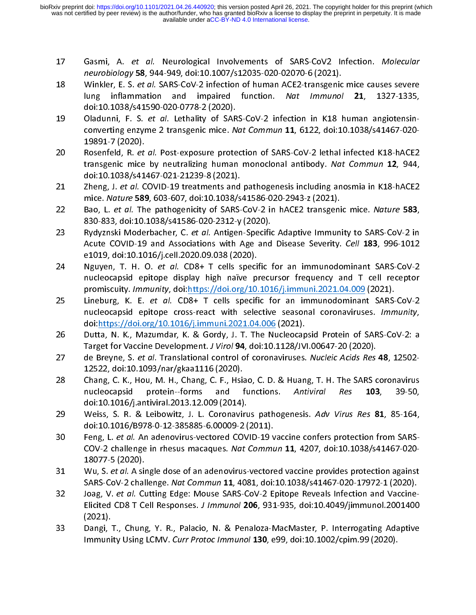- 17 Gashii, A. et al. Neurological Involvements of SARS-CoV2 Infection. Molecular<br>
neurobiology 58, 944-949, doi:10.1007/s12035-020-02070-6 (2021).<br>
18 Winkler, E. S. et al. SARS-CoV-2 infection of human ACE2-transgenic mic
- neurobiology 58, 944-949, doi:10.1007/s12035-020-02070-0 (2021).<br>Winkler, E. S. et al. SARS-CoV-2 infection of human ACE2-transgenic<br>lung inflammation and impaired function. Nat Immunol 18 Winkler, E. S. *et al.* SARS-CoV-2 infection of human ACE2-transgenic mice causes severe<br>lung inflammation and impaired function. *Nat Immunol* **21**, 1327-1335,<br>doi:10.1038/s41590-020-0778-2 (2020). lung inflammation and impaired function. Nut *immunol* 21, 1327-1333,<br>doi:10.1038/s41590-020-0778-2 (2020).<br>Oladunni, F. S. *et al.* Lethality of SARS-CoV-2 infection in K18 human angiotensin-
- doi:10.1038/s41590-020-0778-2 (2020). 19 Oladunni, F. S. *et al.* Lethality of SARS-CoV-2 infection in K18 human angiotensin-<br>converting enzyme 2 transgenic mice. *Nat Commun* 11, 6122, doi:10.1038/s41467-020-<br>19891-7 (2020).<br>Rosenfeld, R. *et al.* Post-exposu converting enzyme 2 transgeme mice. Nat commun 11, 6122, doi:10.1030/s41407-020-<br>19891-7 (2020).<br>Rosenfeld, R. *et al.* Post-exposure protection of SARS-CoV-2 lethal infected K18-hACE2
- Processor<br>Rosenfeld, R. *et*<br>transgenic mice transgenic mice by neutralizing human monoclonal antibody. *Nat Commun* 12, 944,<br>doi:10.1038/s41467-021-21239-8 (2021). transgenic mice by neutralizing human monoclonal antibody. Nat Commun 12, 944,<br>doi:10.1038/s41467-021-21239-8 (2021).<br>Zheng, J. *et al.* COVID-19 treatments and pathogenesis including anosmia in K18-hACE2
- doi:10.1038/s41467-021-21239-8 (2021). 21 Zheng, J. et al. COVID-19 treatments and pathogenesis including anosima in K18-hACE2<br>mice. Nature 589, 603-607, doi:10.1038/s41586-020-2943-z (2021).<br>22 Bao, L. et al. The pathogenicity of SARS-CoV-2 in hACE2 transgenic
- mice. *Nature 389, 603-607, doi:10.10307341386-020-2343-2 (2021).*<br>Bao, L. *et al.* The pathogenicity of SARS-CoV-2 in hACE2 transgeni<br>830-833, doi:10.1038/s41586-020-2312-y (2020). Bao, L. et al. The pathogenicity of SARS-CoV-2 in hACE2 transgenic mice. Nature 583,<br>830-833, doi:10.1038/s41586-020-2312-y (2020).<br>Rydyznski Moderbacher, C. et al. Antigen-Specific Adaptive Immunity to SARS-CoV-2 in
- 83889-833, doi:10383, doi:10383, doi:1038<br>830-833, Rydyznski Moderbacher, C. et al. Antigen-Specific<br>Acute COVID-19 and Associations with Age and 23 Rydyzhski Moderbacher, C. et al. Antigen-Specific Adaptive Immunity to SARS-CoV-2 in<br>Acute COVID-19 and Associations with Age and Disease Severity. *Cell* 183, 996-1012<br>e1019, doi:10.1016/j.cell.2020.09.038 (2020). Acute COVID-19 and Associations with Age and Disease Severity. Cell 183, 996-1012<br>e1019, doi:10.1016/j.cell.2020.09.038 (2020).<br>Nguyen, T. H. O. *et al.* CD8+ T cells specific for an immunodominant SARS-CoV-2
- Nguyen, T. H. O. et al. CD8+ T cells speci<br>nucleocapsid epitope display high naïve pi 24 Nguyen, T. H. O. *et al*. CD8+ T cells specific for an immunodominant SARS-CoV-2<br>nucleocapsid epitope display high naïve precursor frequency and T cell receptor<br>promiscuity.*Immunity*, doi:*https://doi.org/10.1016/j.imm*
- Lineburg, K. E. et al. CD8+ T cells specific for an immunodominant SARS-CoV-2 promiscuity. *Immunity*, doi:<u>https://doi.org/10.1016/j.immuni.2021.04.009</u> (2021).<br>Lineburg, K. E. *et al.* CD8+ T cells specific for an immunodominant SARS-<br>nucleocapsid epitope cross-react with selective seasonal corona 25 Lineburg, K. E. et al. CD8+ T cells specific for an immunodominant SARS-Cov-2<br>nucleocapsid epitope cross-react with selective seasonal coronaviruses. *Immunity*,<br>doi:<u>https://doi.org/10.1016/j.immuni.2021.04.006</u> (2021) doi:<u>https://doi.org/10.1016/j.immuni.2021.04.006</u> (2021).<br>Dutta, N. K., Mazumdar, K. & Gordy, J. T. The Nucleocapsid Protein of SARS-CoV-2: a
- Target for Vaccine Development. J Virol 94, doi:10.1128/JVI.00647-20 (2020). 26 Dutta, N. K., Mazumbar, M. K. Steven, M. K. Mazumbar, March of Sarah, Target for Vaccine Development. J Virol 94, doi:10.1128/JVI.00647-20 (2020).<br>27 de Breyne, S. *et al.* Translational control of coronaviruses. *Nucle*
- Target for Vaccine Development. J VIIOI 34, doi:10.1128/JVI.00647-20 (2020).<br>de Breyne, S. *et al.* Translational control of coronaviruses. *Nucleic Acids Res*<br>12522, doi:10.1093/nar/gkaa1116 (2020). 27 de Breyne, S. et al. Translational control of coronaviruses. Nucleic Acias Res 48, 12502<br>12522, doi:10.1093/nar/gkaa1116 (2020).<br>28 Chang, C. K., Hou, M. H., Chang, C. F., Hsiao, C. D. & Huang, T. H. The SARS coronaviru
- 12622, doi:10092, chang, C. F., Historican<br>1252, C. K., Hou, M. H., Chang, C. F., Hsia<br>1253 mucleocapsid protein--forms and 28 Chang, C. K., Hou, M. H., Chang, C. F., Hsiao, C. D. & Huang, T. H. The SARS coronavirus<br>nucleocapsid protein--forms and functions. Antiviral Res 103, 39-50,<br>doi:10.1016/j.antiviral.2013.12.009 (2014). nucleocapsid protein-forms and functions. Antiviral Res 103, 33-30,<br>doi:10.1016/j.antiviral.2013.12.009 (2014).<br>Weiss, S. R. & Leibowitz, J. L. Coronavirus pathogenesis. Adv Virus Res **81**, 85-164,
- doi:10.1016/8978-0-12-385885-6.00009-2 (<br>doi:10.1016/8978-0-12-385885-6.00009-2 ( 29 Weiss, S. R. & Leibowitz, J. L. Coronavirus pathogenesis. Adv Virus Res 81, 85-164,<br>doi:10.1016/B978-0-12-385885-6.00009-2 (2011).<br>30 Feng, L. *et al.* An adenovirus-vectored COVID-19 vaccine confers protection from SAR
- Feng, L. et al. An adenovirus-vectored COVID-19 v<br>COV-2 challenge in rhesus macaques. Nat Commu 30 Feng, L. et al. An adenovirus-vectored COVID-19 vaccine comers protection from SARS-<br>COV-2 challenge in rhesus macaques. Nat Commun 11, 4207, doi:10.1038/s41467-020-<br>18077-5 (2020). 18077-5 (2020).<br>Wu, S. et al. A single dose of an adenovirus-vectored vaccine provides protection against
- Wu, S. *et al*. A sii<br>SARS-CoV-2 chal 31 Wu, S. et al. A single dose of an adenovirus-vectored vaccine provides protection against<br>SARS-CoV-2 challenge. *Nat Commun* 11, 4081, doi:10.1038/s41467-020-17972-1 (2020).<br>32 Joag, V. *et al.* Cutting Edge: Mouse SARS
- SARS-COV-2 challenge. Nat Commun 11, 4081, doi:10.1038/s41407-020-17972-1 (2020).<br>Joag, V. *et al.* Cutting Edge: Mouse SARS-CoV-2 Epitope Reveals Infection and Vaccine-<br>Elicited CD8 T Cell Responses. *J Immunol* 206, 931- $32$  Joag, V. et al. Cutting Edge: Mouse SARS-Cov-2 Epitope Reveals Infection and Vaccine-<br>Elicited CD8 T Cell Responses. J Immunol 206, 931-935, doi:10.4049/jimmunol.2001400<br>(2021). (2021).<br>Dangi, T., Chung, Y. R., Palacio, N. & Penaloza-MacMaster, P. Interrogating Adaptive
- (2022).<br>Dangi,<br>Immuni 33 Dangy 19, Princip, Princip, Princip, N. & Penaloza-MacMaster, P. P. Interrogating Adaptive<br>Immunity Using LCMV. Curr Protoc Immunol 130, e99, doi:10.1002/cpim.99 (2020).  $I$ mmunity Using LCMV. Curr Protoc *immunol* 130, e99, doi:10.1002/cpim.99 (2020).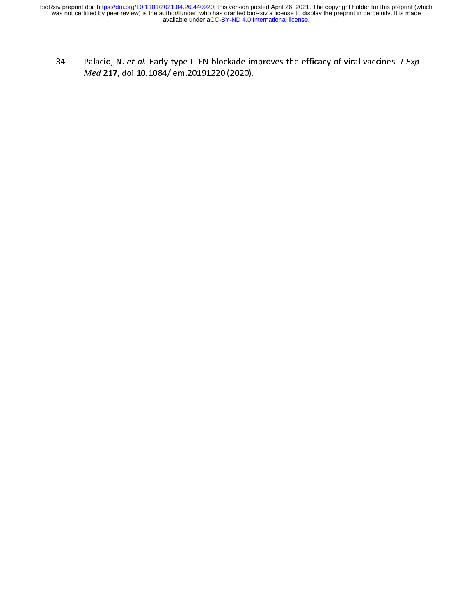$34$  Palacio, N. et al. Early type I II N blockade improves the efficacy of viral vaccines. J Exp<br>  $Med 217$ , doi:10.1084/jem.20191220 (2020). Med 217, doi:10.1084/jem.20191220 (2020).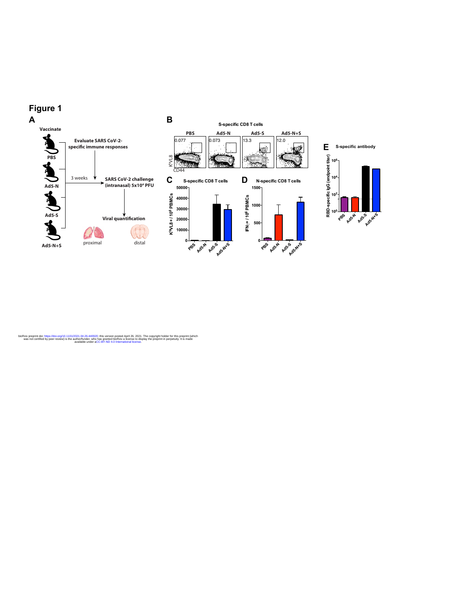